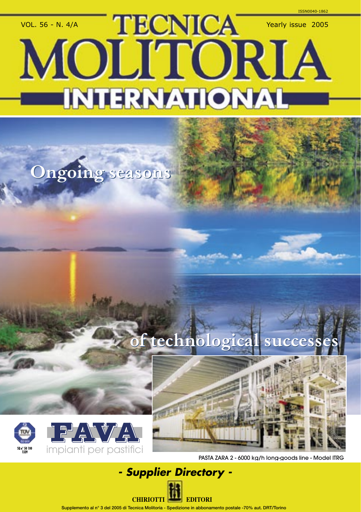## VOL. 56 - N. 4/A TECNICA Yearly issue 2005 MOLITORIA Copertina Favoria Fava 173x171 en 173x171 en 173x171 en 174-2005 en 174-2005 en 174-2005 en 174-2005 en 174-20<br>De la pagina 174-2005 en 174-2005 en 174-2005 en 174-2005 en 174-2005 en 174-2005 en 174-2005 en 174-2005 en 1 C M Y CAMA MY

## **Ongoing seasons Ongoing seasons**

### **of technological successes of technological successes**





PASTA ZARA 2 - 6000 kg/h long-goods line - Model ITRG

# **- Supplier Directory -**

amento postale -70% aut. DRT/Torino

**CHIRIOTTI EDITORI**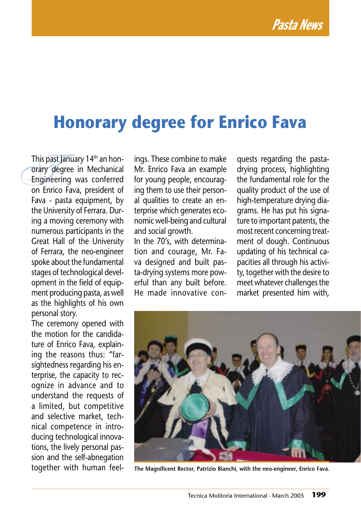#### **Honorary degree for Enrico Fava**

This past January 14<sup>th</sup> an hon-<br>
orary degree in Mechanical<br>
Engineering was conferred<br>
on Enrico Fava, president of orary degree in Mechanical Engineering was conferred on Enrico Fava, president of Fava - pasta equipment, by the University of Ferrara. During a moving ceremony with numerous participants in the Great Hall of the University of Ferrara, the neo-engineer spoke about the fundamental stages of technological development in the field of equipment producing pasta, as well as the highlights of his own personal story.

The ceremony opened with the motion for the candidature of Enrico Fava, explaining the reasons thus: "farsightedness regarding his enterprise, the capacity to recognize in advance and to understand the requests of a limited, but competitive and selective market, technical competence in introducing technological innovations, the lively personal passion and the self-abnegation together with human feel-

ings. These combine to make Mr. Enrico Fava an example for young people, encouraging them to use their personal qualities to create an enterprise which generates economic well-being and cultural and social growth.

In the 70's, with determination and courage, Mr. Fava designed and built pasta-drying systems more powerful than any built before. He made innovative conquests regarding the pastadrying process, highlighting the fundamental role for the quality product of the use of high-temperature drying diagrams. He has put his signature to important patents, the most recent concerning treatment of dough. Continuous updating of his technical capacities all through his activity, together with the desire to meet whatever challenges the market presented him with,



**The Magnificent Rector, Patrizio Bianchi, with the neo-engineer, Enrico Fava.**